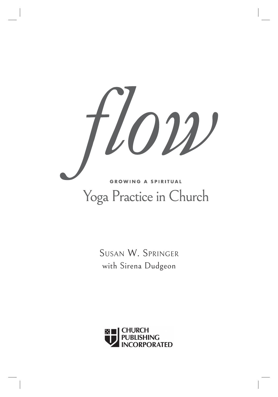

SUSAN W. SPRINGER with Sirena Dudgeon

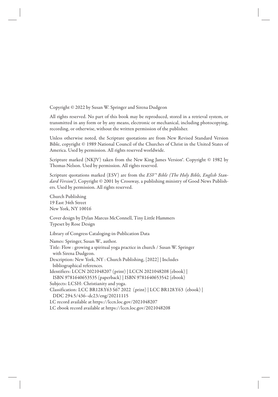Copyright © 2022 by Susan W. Springer and Sirena Dudgeon

All rights reserved. No part of this book may be reproduced, stored in a retrieval system, or transmitted in any form or by any means, electronic or mechanical, including photocopying, recording, or otherwise, without the written permission of the publisher.

Unless otherwise noted, the Scripture quotations are from New Revised Standard Version Bible, copyright © 1989 National Council of the Churches of Christ in the United States of America. Used by permission. All rights reserved worldwide.

Scripture marked (NKJV) taken from the New King James Version<sup>®</sup>. Copyright © 1982 by Thomas Nelson. Used by permission. All rights reserved.

Scripture quotations marked (ESV) are from the *ESV<sup>®</sup> Bible (The Holy Bible, English Standard Version®)*, Copyright © 2001 by Crossway, a publishing ministry of Good News Publishers. Used by permission. All rights reserved.

Church Publishing 19 East 34th Street New York, NY 10016

Cover design by Dylan Marcus McConnell, Tiny Little Hammers Typeset by Rose Design

Library of Congress Cataloging-in-Publication Data

Names: Springer, Susan W., author. Title: Flow : growing a spiritual yoga practice in church / Susan W. Springer with Sirena Dudgeon. Description: New York, NY : Church Publishing, [2022] | Includes bibliographical references. Identifiers: LCCN 2021048207 (print) | LCCN 2021048208 (ebook) | ISBN 9781640653535 (paperback) | ISBN 9781640653542 (ebook) Subjects: LCSH: Christianity and yoga. Classification: LCC BR128.Y63 S67 2022 (print) | LCC BR128.Y63 (ebook) | DDC 294.5/436--dc23/eng/20211115 LC record available at https://lccn.loc.gov/2021048207 LC ebook record available at https://lccn.loc.gov/2021048208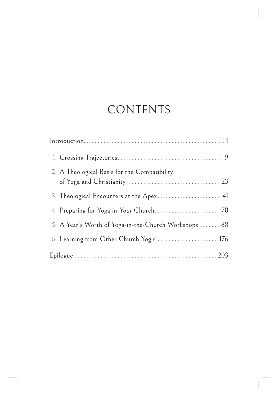# CONTENTS

| 2. A Theological Basis for the Compatibility          |
|-------------------------------------------------------|
| 3. Theological Encounters at the Apex 41              |
|                                                       |
| 5. A Year's Worth of Yoga-in-the-Church Workshops  88 |
| 6. Learning from Other Church Yogis  176              |
|                                                       |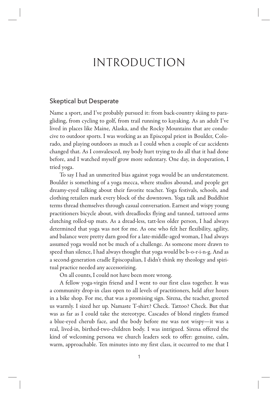## INTRODUCTION

## Skeptical but Desperate

Name a sport, and I've probably pursued it: from back-country skiing to paragliding, from cycling to golf, from trail running to kayaking. As an adult I've lived in places like Maine, Alaska, and the Rocky Mountains that are conducive to outdoor sports. I was working as an Episcopal priest in Boulder, Colorado, and playing outdoors as much as I could when a couple of car accidents changed that. As I convalesced, my body hurt trying to do all that it had done before, and I watched myself grow more sedentary. One day, in desperation, I tried yoga.

To say I had an unmerited bias against yoga would be an understatement. Boulder is something of a yoga mecca, where studios abound, and people get dreamy-eyed talking about their favorite teacher. Yoga festivals, schools, and clothing retailers mark every block of the downtown. Yoga talk and Buddhist terms thread themselves through casual conversation. Earnest and wispy young practitioners bicycle about, with dreadlocks flying and tanned, tattooed arms clutching rolled-up mats. As a dread-less, tatt-less older person, I had always determined that yoga was not for me. As one who felt her flexibility, agility, and balance were pretty darn good for a late-middle-aged woman, I had always assumed yoga would not be much of a challenge. As someone more drawn to speed than silence, I had always thought that yoga would be b-o-r-i-n-g. And as a second-generation cradle Episcopalian, I didn't think my theology and spiritual practice needed any accessorizing.

On all counts, I could not have been more wrong.

A fellow yoga-virgin friend and I went to our first class together. It was a community drop-in class open to all levels of practitioners, held after hours in a bike shop. For me, that was a promising sign. Sirena, the teacher, greeted us warmly. I sized her up. Namaste T-shirt? Check. Tattoo? Check. But that was as far as I could take the stereotype. Cascades of blond ringlets framed a blue-eyed cherub face, and the body before me was not wispy—it was a real, lived-in, birthed-two-children body. I was intrigued. Sirena offered the kind of welcoming persona we church leaders seek to offer: genuine, calm, warm, approachable. Ten minutes into my first class, it occurred to me that I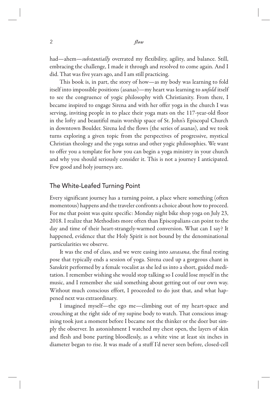#### 2 *flow*

had—ahem—*substantially* overrated my flexibility, agility, and balance. Still, embracing the challenge, I made it through and resolved to come again. And I did. That was five years ago, and I am still practicing.

This book is, in part, the story of how—as my body was learning to fold itself into impossible positions (asanas)—my heart was learning to *unfold* itself to see the congruence of yogic philosophy with Christianity. From there, I became inspired to engage Sirena and with her offer yoga in the church I was serving, inviting people in to place their yoga mats on the 117-year-old floor in the lofty and beautiful main worship space of St. John's Episcopal Church in downtown Boulder. Sirena led the flows (the series of asanas), and we took turns exploring a given topic from the perspectives of progressive, mystical Christian theology and the yoga sutras and other yogic philosophies. We want to offer you a template for how you can begin a yoga ministry in your church and why you should seriously consider it. This is not a journey I anticipated. Few good and holy journeys are.

## The White-Leafed Turning Point

Every significant journey has a turning point, a place where something (often momentous) happens and the traveler confronts a choice about how to proceed. For me that point was quite specific: Monday night bike shop yoga on July 23, 2018. I realize that Methodists more often than Episcopalians can point to the day and time of their heart-strangely-warmed conversion. What can I say? It happened, evidence that the Holy Spirit is not bound by the denominational particularities we observe.

It was the end of class, and we were easing into *savasana*, the final resting pose that typically ends a session of yoga. Sirena cued up a gorgeous chant in Sanskrit performed by a female vocalist as she led us into a short, guided meditation. I remember wishing she would stop talking so I could lose myself in the music, and I remember she said something about getting out of our own way. Without much conscious effort, I proceeded to do just that, and what happened next was extraordinary.

I imagined myself—the ego me—climbing out of my heart-space and crouching at the right side of my supine body to watch. That conscious imagining took just a moment before I became not the thinker or the doer but simply the observer. In astonishment I watched my chest open, the layers of skin and flesh and bone parting bloodlessly, as a white vine at least six inches in diameter began to rise. It was made of a stuff I'd never seen before, closed-cell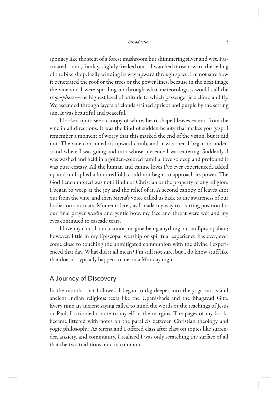spongey like the stem of a forest mushroom but shimmering silver and wet. Fascinated—and, frankly, slightly freaked out—I watched it rise toward the ceiling of the bike shop, lazily winding its way upward through space. I'm not sure how it penetrated the roof or the trees or the power lines, because in the next image the vine and I were spiraling up through what meteorologists would call the *troposphere*—the highest level of altitude to which passenger jets climb and fly. We ascended through layers of clouds stained apricot and purple by the setting sun. It was beautiful and peaceful.

I looked up to see a canopy of white, heart-shaped leaves extend from the vine in all directions. It was the kind of sudden beauty that makes you gasp. I remember a moment of worry that this marked the end of the vision, but it did not. The vine continued its upward climb, and it was then I began to understand where I was going and into whose presence I was entering. Suddenly, I was washed and held in a golden-colored familial love so deep and profound it was pure ecstasy. All the human and canine loves I've ever experienced, added up and multiplied a hundredfold, could not begin to approach its power. The God I encountered was not Hindu or Christian or the property of any religion. I began to weep at the joy and the relief of it. A second canopy of leaves shot out from the vine, and then Sirena's voice called us back to the awareness of our bodies on our mats. Moments later, as I made my way to a sitting position for our final prayer *mudra* and gentle bow, my face and throat were wet and my eyes continued to cascade tears.

I love my church and cannot imagine being anything but an Episcopalian; however, little in my Episcopal worship or spiritual experience has ever, ever come close to touching the unmitigated communion with the divine I experienced that day. What did it all mean? I'm still not sure, but I do know stuff like that doesn't typically happen to me on a Monday night.

## A Journey of Discovery

In the months that followed I began to dig deeper into the yoga sutras and ancient Indian religious texts like the Upanishads and the Bhagavad Gita. Every time an ancient saying called to mind the words or the teachings of Jesus or Paul, I scribbled a note to myself in the margins. The pages of my books became littered with notes on the parallels between Christian theology and yogic philosophy. As Sirena and I offered class after class on topics like surrender, anxiety, and community, I realized I was only scratching the surface of all that the two traditions hold in common.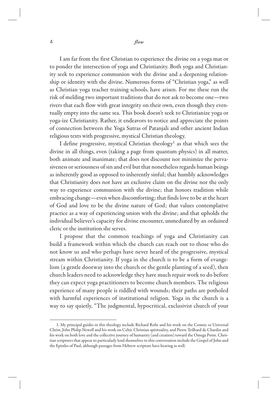I am far from the first Christian to experience the divine on a yoga mat or to ponder the intersection of yoga and Christianity. Both yoga and Christianity seek to experience communion with the divine and a deepening relationship or identity with the divine. Numerous forms of "Christian yoga," as well as Christian yoga teacher training schools, have arisen. For me these run the risk of melding two important traditions that do not ask to become one—two rivers that each flow with great integrity on their own, even though they eventually empty into the same sea. This book doesn't seek to Christianize yoga or yoga-ize Christianity. Rather, it endeavors to notice and appreciate the points of connection between the Yoga Sutras of Patanjali and other ancient Indian religious texts with progressive, mystical Christian theology.

I define progressive, mystical Christian theology<sup>1</sup> as that which sees the divine in all things, even (taking a page from quantum physics) in all matter, both animate and inanimate; that does not discount nor minimize the pervasiveness or seriousness of sin and evil but that nonetheless regards human beings as inherently good as opposed to inherently sinful; that humbly acknowledges that Christianity does not have an exclusive claim on the divine nor the only way to experience communion with the divine; that honors tradition while embracing change—even when discomforting; that finds love to be at the heart of God and love to be the divine nature of God; that values contemplative practice as a way of experiencing union with the divine; and that upholds the individual believer's capacity for divine encounter, unmediated by an ordained cleric or the institution she serves.

I propose that the common teachings of yoga and Christianity can build a framework within which the church can reach out to those who do not know us and who perhaps have never heard of the progressive, mystical stream within Christianity. If yoga in the church is to be a form of evangelism (a gentle doorway into the church or the gentle planting of a seed), then church leaders need to acknowledge they have much repair work to do before they can expect yoga practitioners to become church members. The religious experience of many people is riddled with wounds; their paths are potholed with harmful experiences of institutional religion. Yoga in the church is a way to say quietly, "The judgmental, hypocritical, exclusivist church of your

<sup>1.</sup> My principal guides in this theology include Richard Rohr and his work on the Cosmic or Universal Christ, John Philip Newell and his work on Celtic Christian spirituality, and Pierre Teilhard de Chardin and his work on both love and the collective journey of humanity (and creation) toward the Omega Point. Christian scriptures that appear to particularly lend themselves to this conversation include the Gospel of John and the Epistles of Paul, although passages from Hebrew scripture have bearing as well.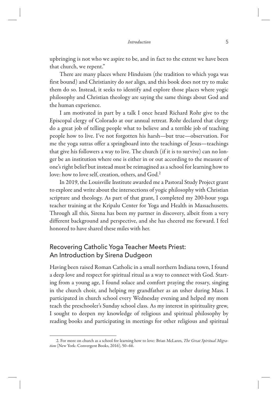upbringing is not who we aspire to be, and in fact to the extent we have been that church, we repent."

There are many places where Hinduism (the tradition to which yoga was first bound) and Christianity do *not* align, and this book does not try to make them do so. Instead, it seeks to identify and explore those places where yogic philosophy and Christian theology are saying the same things about God and the human experience.

I am motivated in part by a talk I once heard Richard Rohr give to the Episcopal clergy of Colorado at our annual retreat. Rohr declared that clergy do a great job of telling people what to believe and a terrible job of teaching people how to live. I've not forgotten his harsh—but true—observation. For me the yoga sutras offer a springboard into the teachings of Jesus—teachings that give his followers a way to live. The church (if it is to survive) can no longer be an institution where one is either in or out according to the measure of one's right belief but instead must be reimagined as a school for learning how to love: how to love self, creation, others, and God.2

In 2019, the Louisville Institute awarded me a Pastoral Study Project grant to explore and write about the intersections of yogic philosophy with Christian scripture and theology. As part of that grant, I completed my 200-hour yoga teacher training at the Kripalu Center for Yoga and Health in Massachusetts. Through all this, Sirena has been my partner in discovery, albeit from a very different background and perspective, and she has cheered me forward. I feel honored to have shared these miles with her.

## Recovering Catholic Yoga Teacher Meets Priest: An Introduction by Sirena Dudgeon

Having been raised Roman Catholic in a small northern Indiana town, I found a deep love and respect for spiritual ritual as a way to connect with God. Starting from a young age, I found solace and comfort praying the rosary, singing in the church choir, and helping my grandfather as an usher during Mass. I participated in church school every Wednesday evening and helped my mom teach the preschooler's Sunday school class. As my interest in spirituality grew, I sought to deepen my knowledge of religious and spiritual philosophy by reading books and participating in meetings for other religious and spiritual

<sup>2.</sup> For more on church as a school for learning how to love: Brian McLaren, *The Great Spiritual Migration* (New York: Convergent Books, 2016), 50–66.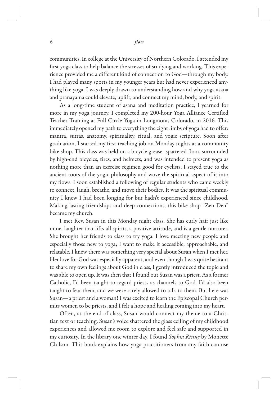#### 6 *flow*

communities. In college at the University of Northern Colorado, I attended my first yoga class to help balance the stresses of studying and working. This experience provided me a different kind of connection to God—through my body. I had played many sports in my younger years but had never experienced anything like yoga. I was deeply drawn to understanding how and why yoga asana and pranayama could elevate, uplift, and connect my mind, body, and spirit.

As a long-time student of asana and meditation practice, I yearned for more in my yoga journey. I completed my 200-hour Yoga Alliance Certified Teacher Training at Full Circle Yoga in Longmont, Colorado, in 2016. This immediately opened my path to everything the eight limbs of yoga had to offer: mantra, sutras, anatomy, spirituality, ritual, and yogic scripture. Soon after graduation, I started my first teaching job on Monday nights at a community bike shop. This class was held on a bicycle grease–spattered floor, surrounded by high-end bicycles, tires, and helmets, and was intended to present yoga as nothing more than an exercise regimen good for cyclists. I stayed true to the ancient roots of the yogic philosophy and wove the spiritual aspect of it into my flows. I soon established a following of regular students who came weekly to connect, laugh, breathe, and move their bodies. It was the spiritual community I knew I had been longing for but hadn't experienced since childhood. Making lasting friendships and deep connections, this bike shop "Zen Den" became my church.

I met Rev. Susan in this Monday night class. She has curly hair just like mine, laughter that lifts all spirits, a positive attitude, and is a gentle nurturer. She brought her friends to class to try yoga. I love meeting new people and especially those new to yoga; I want to make it accessible, approachable, and relatable. I knew there was something very special about Susan when I met her. Her love for God was especially apparent, and even though I was quite hesitant to share my own feelings about God in class, I gently introduced the topic and was able to open up. It was then that I found out Susan was a priest. As a former Catholic, I'd been taught to regard priests as channels to God. I'd also been taught to fear them, and we were rarely allowed to talk to them. But here was Susan—a priest and a woman! I was excited to learn the Episcopal Church permits women to be priests, and I felt a hope and healing coming into my heart.

Often, at the end of class, Susan would connect my theme to a Christian text or teaching. Susan's voice shattered the glass ceiling of my childhood experiences and allowed me room to explore and feel safe and supported in my curiosity. In the library one winter day, I found *Sophia Rising* by Monette Chilson. This book explains how yoga practitioners from any faith can use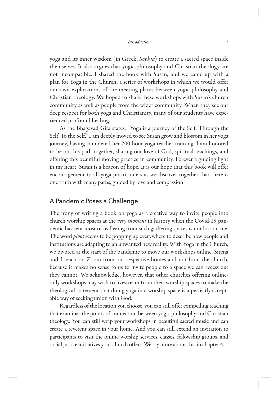yoga and its inner wisdom (in Greek, *Sophia*) to create a sacred space inside themselves. It also argues that yogic philosophy and Christian theology are not incompatible. I shared the book with Susan, and we came up with a plan for Yoga in the Church, a series of workshops in which we would offer our own explorations of the meeting places between yogic philosophy and Christian theology. We hoped to share these workshops with Susan's church community as well as people from the wider community. When they see our deep respect for both yoga and Christianity, many of our students have experienced profound healing.

As the Bhagavad Gita states, "Yoga is a journey of the Self, Through the Self, To the Self." I am deeply moved to see Susan grow and blossom in her yoga journey, having completed her 200-hour yoga teacher training. I am honored to be on this path together, sharing our love of God, spiritual teachings, and offering this beautiful moving practice in community. Forever a guiding light in my heart, Susan is a beacon of hope. It is our hope that this book will offer encouragement to all yoga practitioners as we discover together that there is one truth with many paths, guided by love and compassion.

## A Pandemic Poses a Challenge

The irony of writing a book on yoga as a creative way to invite people into church worship spaces at the *very moment* in history when the Covid-19 pandemic has sent most of us fleeing from such gathering spaces is not lost on me. The word *pivot* seems to be popping up everywhere to describe how people and institutions are adapting to an unwanted new reality. With Yoga in the Church, we pivoted at the start of the pandemic to move our workshops online. Sirena and I teach on Zoom from our respective homes and not from the church, because it makes no sense to us to invite people to a space we can access but they cannot. We acknowledge, however, that other churches offering onlineonly workshops may wish to livestream from their worship spaces to make the theological statement that doing yoga in a worship space is a perfectly acceptable way of seeking union with God.

Regardless of the location you choose, you can still offer compelling teaching that examines the points of connection between yogic philosophy and Christian theology. You can still wrap your workshops in beautiful sacred music and can create a reverent space in your home. And you can still extend an invitation to participants to visit the online worship services, classes, fellowship groups, and social justice initiatives your church offers. We say more about this in chapter 4.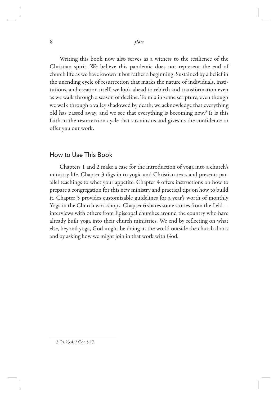Writing this book now also serves as a witness to the resilience of the Christian spirit. We believe this pandemic does not represent the end of church life as we have known it but rather a beginning. Sustained by a belief in the unending cycle of resurrection that marks the nature of individuals, institutions, and creation itself, we look ahead to rebirth and transformation even as we walk through a season of decline. To mix in some scripture, even though we walk through a valley shadowed by death, we acknowledge that everything old has passed away, and we see that everything is becoming new.<sup>3</sup> It is this faith in the resurrection cycle that sustains us and gives us the confidence to offer you our work.

### How to Use This Book

Chapters 1 and 2 make a case for the introduction of yoga into a church's ministry life. Chapter 3 digs in to yogic and Christian texts and presents parallel teachings to whet your appetite. Chapter 4 offers instructions on how to prepare a congregation for this new ministry and practical tips on how to build it. Chapter 5 provides customizable guidelines for a year's worth of monthly Yoga in the Church workshops. Chapter 6 shares some stories from the field interviews with others from Episcopal churches around the country who have already built yoga into their church ministries. We end by reflecting on what else, beyond yoga, God might be doing in the world outside the church doors and by asking how we might join in that work with God.

<sup>3.</sup> Ps. 23:4; 2 Cor. 5:17.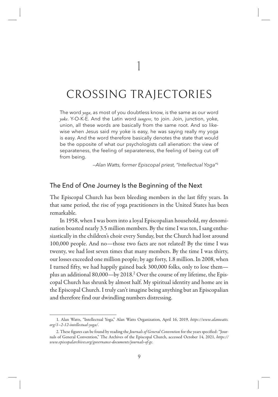1

## CROSSING TRAJECTORIES

The word *yoga*, as most of you doubtless know, is the same as our word *yoke*. Y-O-K-E. And the Latin word *iungere*, to join. Join, junction, yoke, union, all these words are basically from the same root. And so likewise when Jesus said my yoke is easy, he was saying really my yoga is easy. And the word therefore basically denotes the state that would be the opposite of what our psychologists call alienation: the view of separateness, the feeling of separateness, the feeling of being cut off from being.

—Alan Watts, former Episcopal priest, "Intellectual Yoga"<sup>1</sup>

## The End of One Journey Is the Beginning of the Next

The Episcopal Church has been bleeding members in the last fifty years. In that same period, the rise of yoga practitioners in the United States has been remarkable.

In 1958, when I was born into a loyal Episcopalian household, my denomination boasted nearly 3.5 million members. By the time I was ten, I sang enthusiastically in the children's choir every Sunday, but the Church had lost around 100,000 people. And no—those two facts are not related! By the time I was twenty, we had lost seven times that many members. By the time I was thirty, our losses exceeded one million people; by age forty, 1.8 million. In 2008, when I turned fifty, we had happily gained back 300,000 folks, only to lose them plus an additional 80,000—by 2018.2 Over the course of my lifetime, the Episcopal Church has shrunk by almost half. My spiritual identity and home are in the Episcopal Church. I truly can't imagine being anything but an Episcopalian and therefore find our dwindling numbers distressing.

<sup>1.</sup> Alan Watts, "Intellectual Yoga," Alan Watts Organization, April 16, 2019, *https://www.alanwatts. org/1–2-12-intellectual-yoga/*.

<sup>2.</sup> These figures can be found by reading the *Journals of General Convention* for the years specified: "Journals of General Convention," The Archives of the Episcopal Church, accessed October 14, 2021, *https:// www.episcopalarchives.org/governance-documents/journals-of-gc*.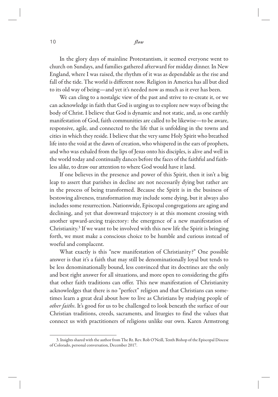In the glory days of mainline Protestantism, it seemed everyone went to church on Sundays, and families gathered afterward for midday dinner. In New England, where I was raised, the rhythm of it was as dependable as the rise and fall of the tide. The world is different now. Religion in America has all but died to its old way of being—and yet it's needed now as much as it ever has been.

We can cling to a nostalgic view of the past and strive to re-create it, or we can acknowledge in faith that God is urging us to explore new ways of being the body of Christ. I believe that God is dynamic and not static, and, as one earthly manifestation of God, faith communities are called to be likewise—to be aware, responsive, agile, and connected to the life that is unfolding in the towns and cities in which they reside. I believe that the very same Holy Spirit who breathed life into the void at the dawn of creation, who whispered in the ears of prophets, and who was exhaled from the lips of Jesus onto his disciples, is alive and well in the world today and continually dances before the faces of the faithful and faithless alike, to draw our attention to where God would have it land.

If one believes in the presence and power of this Spirit, then it isn't a big leap to assert that parishes in decline are not necessarily dying but rather are in the process of being transformed. Because the Spirit is in the business of bestowing aliveness, transformation may include some dying, but it always also includes some resurrection. Nationwide, Episcopal congregations are aging and declining, and yet that downward trajectory is at this moment crossing with another upward-arcing trajectory: the emergence of a new manifestation of Christianity.3 If we want to be involved with this new life the Spirit is bringing forth, we must make a conscious choice to be humble and curious instead of woeful and complacent.

What exactly is this "new manifestation of Christianity?" One possible answer is that it's a faith that may still be denominationally loyal but tends to be less denominationally bound, less convinced that its doctrines are the only and best right answer for all situations, and more open to considering the gifts that other faith traditions can offer. This new manifestation of Christianity acknowledges that there is no "perfect" religion and that Christians can sometimes learn a great deal about how to live as Christians by studying people of *other faiths*. It's good for us to be challenged to look beneath the surface of our Christian traditions, creeds, sacraments, and liturgies to find the values that connect us with practitioners of religions unlike our own. Karen Armstrong

<sup>3.</sup> Insights shared with the author from The Rt. Rev. Rob O'Neill, Tenth Bishop of the Episcopal Diocese of Colorado, personal conversation, December 2017.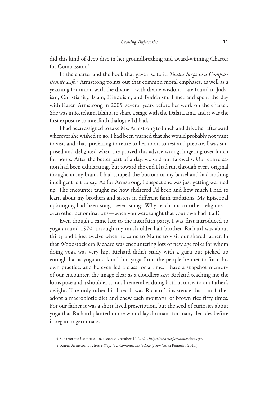did this kind of deep dive in her groundbreaking and award-winning Charter for Compassion*.* 4

In the charter and the book that gave rise to it, *Twelve Steps to a Compassionate Life*, 5 Armstrong points out that common moral emphases, as well as a yearning for union with the divine—with divine wisdom—are found in Judaism, Christianity, Islam, Hinduism, and Buddhism. I met and spent the day with Karen Armstrong in 2005, several years before her work on the charter. She was in Ketchum, Idaho, to share a stage with the Dalai Lama, and it was the first exposure to interfaith dialogue I'd had.

I had been assigned to take Ms. Armstrong to lunch and drive her afterward wherever she wished to go. I had been warned that she would probably not want to visit and chat, preferring to retire to her room to rest and prepare. I was surprised and delighted when she proved this advice wrong, lingering over lunch for hours. After the better part of a day, we said our farewells. Our conversation had been exhilarating, but toward the end I had run through every original thought in my brain. I had scraped the bottom of my barrel and had nothing intelligent left to say. As for Armstrong, I suspect she was just getting warmed up. The encounter taught me how sheltered I'd been and how much I had to learn about my brothers and sisters in different faith traditions. My Episcopal upbringing had been snug—even smug: Why reach out to other religions even other denominations—when you were taught that your own had it all?

Even though I came late to the interfaith party, I was first introduced to yoga around 1970, through my much older half-brother. Richard was about thirty and I just twelve when he came to Maine to visit our shared father. In that Woodstock era Richard was encountering lots of new age folks for whom doing yoga was very hip. Richard didn't study with a guru but picked up enough hatha yoga and kundalini yoga from the people he met to form his own practice, and he even led a class for a time. I have a snapshot memory of our encounter, the image clear as a cloudless sky: Richard teaching me the lotus pose and a shoulder stand. I remember doing both at once, to our father's delight. The only other bit I recall was Richard's insistence that our father adopt a macrobiotic diet and chew each mouthful of brown rice fifty times. For our father it was a short-lived prescription, but the seed of curiosity about yoga that Richard planted in me would lay dormant for many decades before it began to germinate.

<sup>4.</sup> Charter for Compassion, accessed October 14, 2021, *https://charterforcompassion.org/*.

<sup>5.</sup> Karen Armstrong, *Twelve Steps to a Compassionate Life* (New York: Penguin, 2011).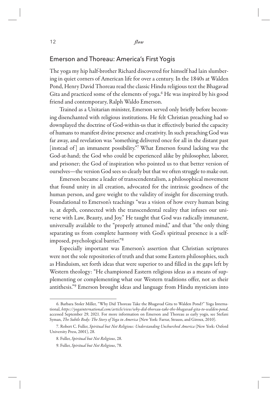## Emerson and Thoreau: America's First Yogis

The yoga my hip half-brother Richard discovered for himself had lain slumbering in quiet corners of American life for over a century. In the 1840s at Walden Pond, Henry David Thoreau read the classic Hindu religious text the Bhagavad Gita and practiced some of the elements of yoga.<sup>6</sup> He was inspired by his good friend and contemporary, Ralph Waldo Emerson.

Trained as a Unitarian minister, Emerson served only briefly before becoming disenchanted with religious institutions. He felt Christian preaching had so downplayed the doctrine of God-within-us that it effectively buried the capacity of humans to manifest divine presence and creativity. In such preaching God was far away, and revelation was "something delivered once for all in the distant past [instead of] an immanent possibility."7 What Emerson found lacking was the God-at-hand; the God who could be experienced alike by philosopher, laborer, and prisoner; the God of inspiration who pointed us to that better version of ourselves—the version God sees so clearly but that we often struggle to make out.

Emerson became a leader of transcendentalism, a philosophical movement that found unity in all creation, advocated for the intrinsic goodness of the human person, and gave weight to the validity of insight for discerning truth. Foundational to Emerson's teachings "was a vision of how every human being is, at depth, connected with the transcendental reality that infuses our universe with Law, Beauty, and Joy." He taught that God was radically immanent, universally available to the "properly attuned mind," and that "the only thing separating us from complete harmony with God's spiritual presence is a selfimposed, psychological barrier."8

Especially important was Emerson's assertion that Christian scriptures were not the sole repositories of truth and that some Eastern philosophies, such as Hinduism, set forth ideas that were superior to and filled in the gaps left by Western theology: "He championed Eastern religious ideas as a means of supplementing or complementing what our Western traditions offer, not as their antithesis."9 Emerson brought ideas and language from Hindu mysticism into

<sup>6.</sup> Barbara Stoler Miller, "Why Did Thoreau Take the Bhagavad Gita to Walden Pond?" Yoga International, *https://yogainternational.com/article/view/why-did-thoreau-take-the-bhagavad-gita-to-walden-pond*, accessed September 29, 2021. For more information on Emerson and Thoreau as early yogis, see Stefani Syman, *The Subtle Body: The Story of Yoga in America* (New York: Farrar, Strauss, and Giroux, 2010).

<sup>7.</sup> Robert C. Fuller, *Spiritual but Not Religious: Understanding Unchurched America* (New York: Oxford University Press, 2001), 28.

<sup>8.</sup> Fuller, *Spiritual but Not Religious*, 28.

<sup>9.</sup> Fuller, *Spiritual but Not Religious*, 78.